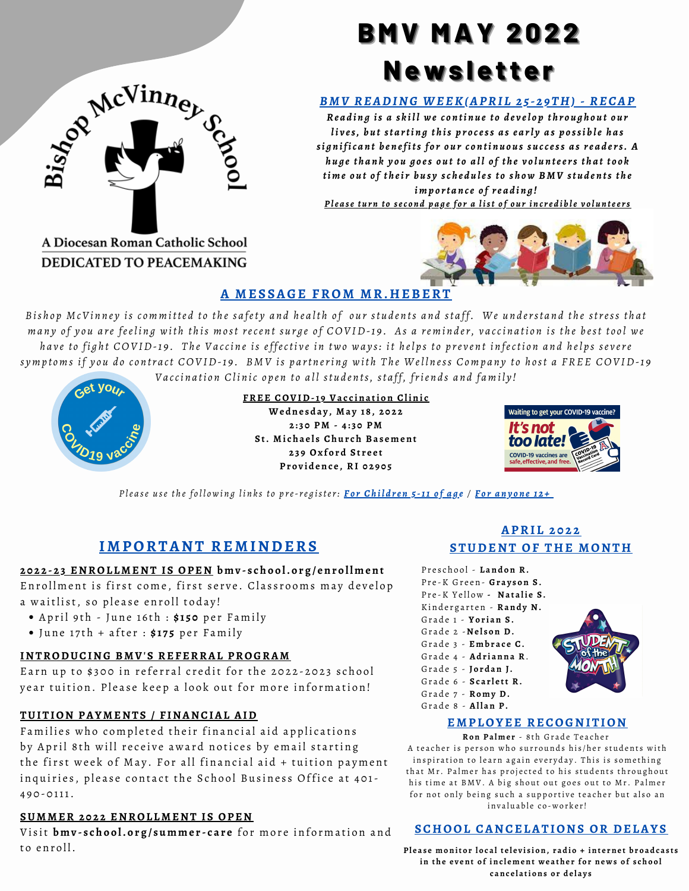

A Diocesan Roman Catholic School DEDICATED TO PEACEMAKING

# **BMV MAY 2022 Newsletter**

# *B M V READING WEEK(APRI L 2 5 - 2 9 TH) - RECAP*

Reading is a skill we continue to develop throughout our lives, but starting this process as early as possible has significant benefits for our continuous success as readers. A huge thank you goes out to all of the volunteers that took time out of their busy schedules to show BMV students the *imp o rt a n ce o f re a d i n g !* Please turn to second page for a list of our incredible volunteers

# **A MES SAGE FROM MR.HEBERT**

Bishop McVinney is committed to the safety and health of our students and staff. We understand the stress that many of you are feeling with this most recent surge of COVID-19. As a reminder, vaccination is the best tool we have to fight COVID-19. The Vaccine is effective in two ways: it helps to prevent infection and helps severe symptoms if you do contract COVID-19. BMV is partnering with The Wellness Company to host a FREE COVID-19 Vaccination Clinic open to all students, staff, friends and family!



#### **FREE COVID-1 9 Va c c ina ti on Clini c**

**We dne s d a y , Ma y 1 8 , 2 0 2 2 2 : 3 0 PM - 4 : 3 0 PM S t. Mi c h a e l s Ch u r c h Ba s e m ent 2 3 9 Ox f o r d S t r e e t Pr o v id enc e , RI 0 2 9 0 5**



Please use the following links to pre-register: For Children 5[-11](https://qrco.de/McVinney5518) of age / For a[n](https://qrco.de/McVinney12518)yone 12+

# **IMPORTANT REMINDERS**

#### 2022-23 ENROLLMENT IS OPEN bmv-school.org/enrollment

Enrollment is first come, first serve. Classrooms may develop

- a waitlist, so please enroll today!
	- April 9th June 16th : \$150 per Family
	- $\bullet$  June 17th + after :  $\sharp$ 175 per Family

#### **INTRODUCING BMV' S REFERRAL PROGRAM**

Earn up to \$300 in referral credit for the 2022-2023 school year tuition. Please keep a look out for more information!

#### **TUITION PAYMENTS / F INANCIAL AID**

Families who completed their financial aid applications by April 8th will receive award notices by email starting the first week of May. For all financial aid + tuition payment inquiries, please contact the School Business Office at 401-4 9 0 - 0 111.

#### **SUMMER 2 0 2 2 ENROL LMENT I S OPEN**

Visit bmv-school.org/summer-care for more information and to enroll.

## **APRI L 2 0 2 2 STUDENT OF THE MONTH**

P r e s c h o o l - **L and on R.** P r e -K Gr e e n - **Gr a y s on S .** P r e -K Y e ll ow **- Na t a li e S .** Kindergarten - Randy N. Gr a d e 1 - **Yo r i an S .** Gr a d e 2 -**Ne l s on D.** Gr a d e 3 - **E m b r a c e C.** Gr a d e 4 - **Ad r i anna R**. Gr a d e 5 - **J o r d an J.** Gr a d e 6 - **S c a r l e tt R.** Gr a d e 7 - **Ro m y D.** Gr a d e 8 - **Al l an P.**



#### **EMPLOYEE RECOGNITION**

**Ron Pa l me r** - 8 t h Gr a d e T e a c h e r A teacher is person who surrounds his/her students with inspiration to learn again everyday. This is something that Mr. Palmer has projected to his students throughout his time at BMV. A big shout out goes out to Mr. Palmer for not only being such a supportive teacher but also an invaluable co-worker!

## **SCHOOL CANCELATIONS OR DELAYS**

Please monitor local television, radio + internet broadcasts in the event of inclement weather for news of school **c anc e l a ti ons o r d e l a y s**